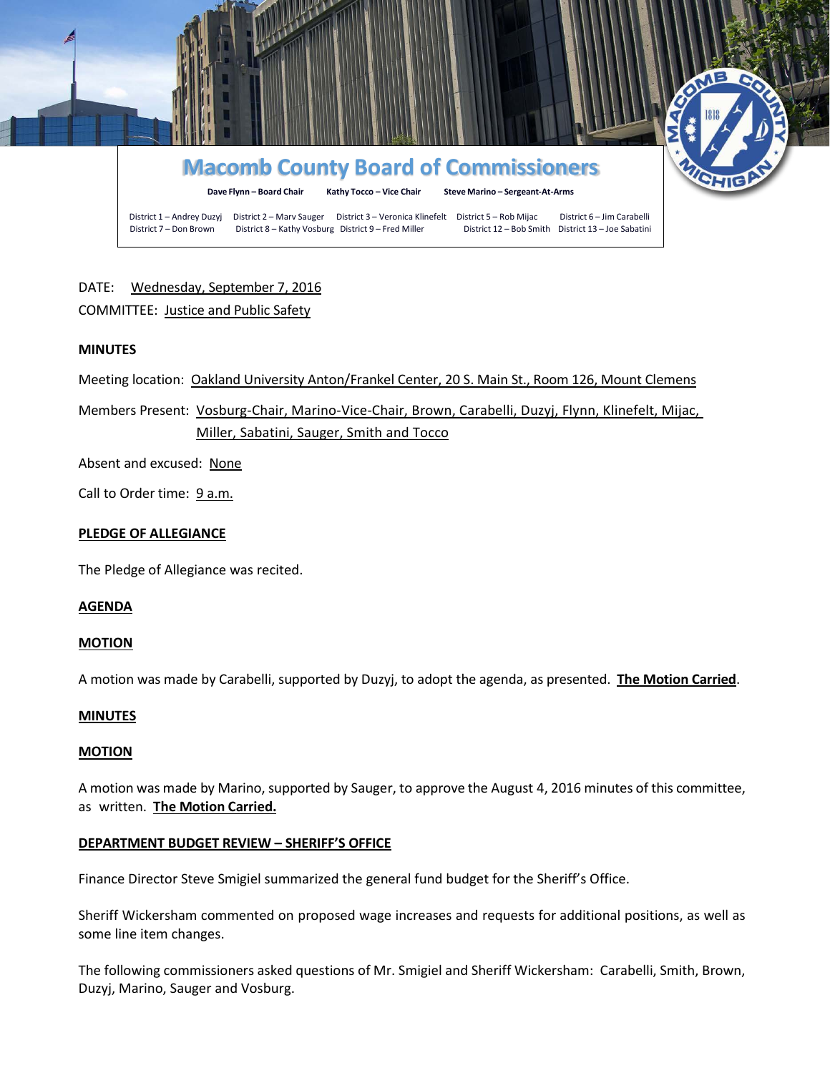

# DATE: Wednesday, September 7, 2016 COMMITTEE: Justice and Public Safety

# **MINUTES**

Meeting location: Oakland University Anton/Frankel Center, 20 S. Main St., Room 126, Mount Clemens

Members Present: Vosburg-Chair, Marino-Vice-Chair, Brown, Carabelli, Duzyj, Flynn, Klinefelt, Mijac, Miller, Sabatini, Sauger, Smith and Tocco

Absent and excused: None

Call to Order time: 9 a.m.

#### **PLEDGE OF ALLEGIANCE**

The Pledge of Allegiance was recited.

#### **AGENDA**

#### **MOTION**

A motion was made by Carabelli, supported by Duzyj, to adopt the agenda, as presented. **The Motion Carried**.

#### **MINUTES**

### **MOTION**

A motion was made by Marino, supported by Sauger, to approve the August 4, 2016 minutes of this committee, as written. **The Motion Carried.**

#### **DEPARTMENT BUDGET REVIEW – SHERIFF'S OFFICE**

Finance Director Steve Smigiel summarized the general fund budget for the Sheriff's Office.

Sheriff Wickersham commented on proposed wage increases and requests for additional positions, as well as some line item changes.

The following commissioners asked questions of Mr. Smigiel and Sheriff Wickersham: Carabelli, Smith, Brown, Duzyj, Marino, Sauger and Vosburg.